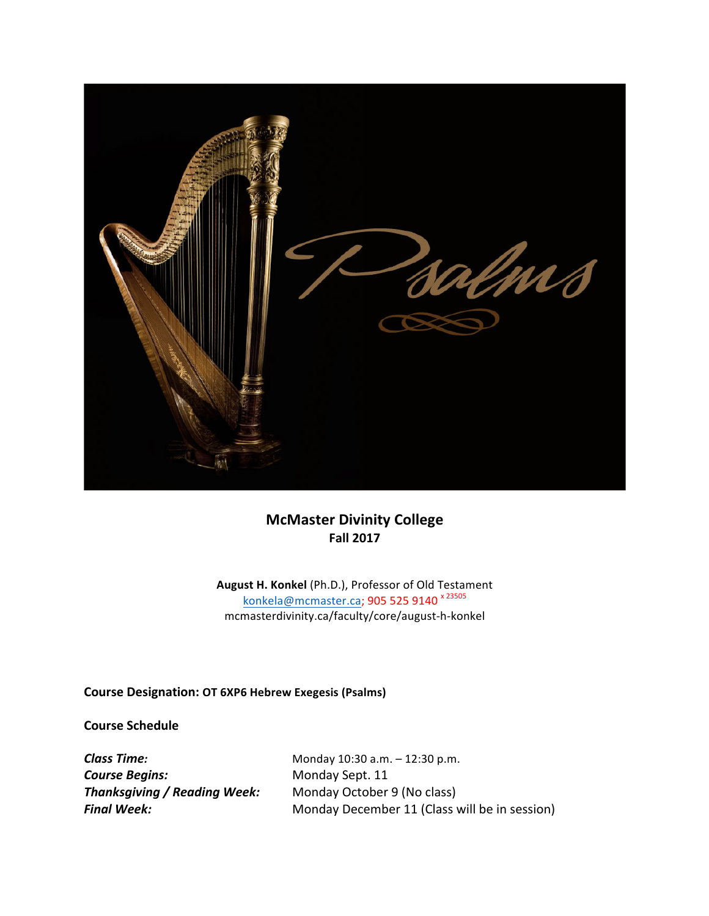

# **McMaster Divinity College Fall 2017**

August H. Konkel (Ph.D.), Professor of Old Testament konkela@mcmaster.ca; 905 525 9140<sup>x 23505</sup> mcmasterdivinity.ca/faculty/core/august-h-konkel

**Course Designation: OT 6XP6 Hebrew Exegesis (Psalms)**

**Course Schedule**

**Course Begins:** Monday Sept. 11 **Thanksgiving / Reading Week:** Monday October 9 (No class)

**Class Time:** Monday 10:30 a.m. – 12:30 p.m. **Final Week:** Monday December 11 (Class will be in session)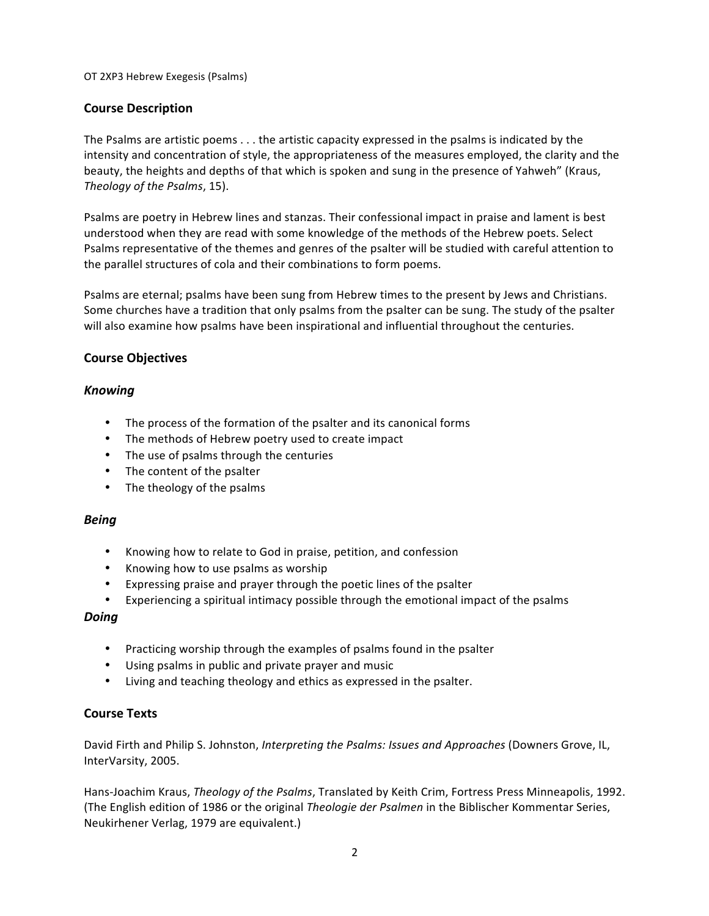# **Course Description**

The Psalms are artistic poems  $\dots$  the artistic capacity expressed in the psalms is indicated by the intensity and concentration of style, the appropriateness of the measures employed, the clarity and the beauty, the heights and depths of that which is spoken and sung in the presence of Yahweh" (Kraus, *Theology of the Psalms, 15).* 

Psalms are poetry in Hebrew lines and stanzas. Their confessional impact in praise and lament is best understood when they are read with some knowledge of the methods of the Hebrew poets. Select Psalms representative of the themes and genres of the psalter will be studied with careful attention to the parallel structures of cola and their combinations to form poems.

Psalms are eternal; psalms have been sung from Hebrew times to the present by Jews and Christians. Some churches have a tradition that only psalms from the psalter can be sung. The study of the psalter will also examine how psalms have been inspirational and influential throughout the centuries.

## **Course Objectives**

# *Knowing*

- The process of the formation of the psalter and its canonical forms
- The methods of Hebrew poetry used to create impact
- The use of psalms through the centuries
- The content of the psalter
- The theology of the psalms

## *Being*

- Knowing how to relate to God in praise, petition, and confession
- Knowing how to use psalms as worship
- Expressing praise and prayer through the poetic lines of the psalter
- Experiencing a spiritual intimacy possible through the emotional impact of the psalms

## *Doing*

- Practicing worship through the examples of psalms found in the psalter
- Using psalms in public and private prayer and music
- Living and teaching theology and ethics as expressed in the psalter.

# **Course Texts**

David Firth and Philip S. Johnston, *Interpreting the Psalms: Issues and Approaches* (Downers Grove, IL, InterVarsity, 2005.

Hans-Joachim Kraus, *Theology of the Psalms*, Translated by Keith Crim, Fortress Press Minneapolis, 1992. (The English edition of 1986 or the original *Theologie der Psalmen* in the Biblischer Kommentar Series, Neukirhener Verlag, 1979 are equivalent.)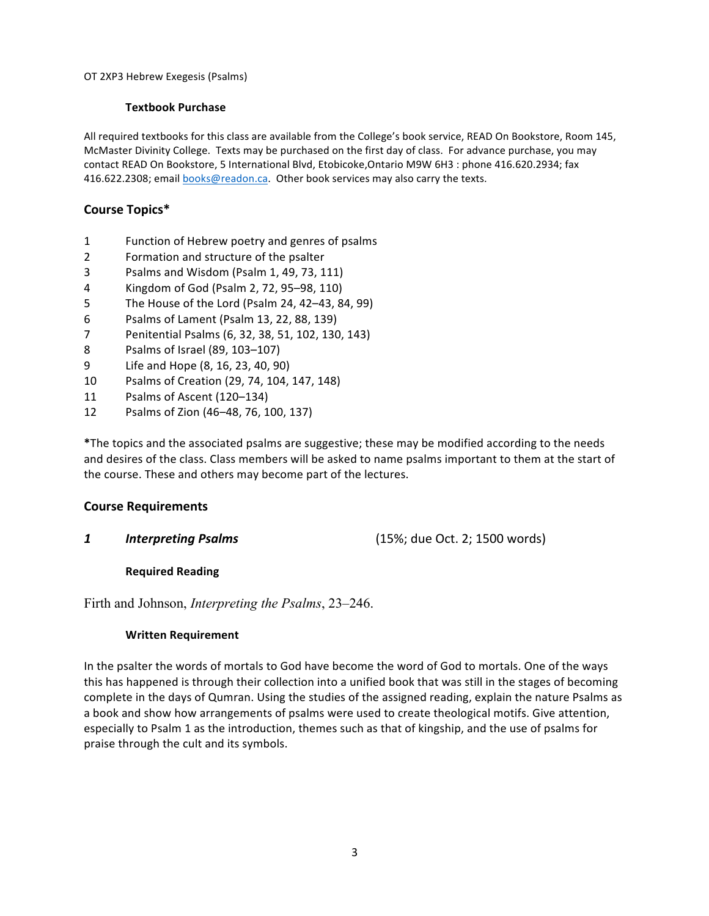## **Textbook Purchase**

All required textbooks for this class are available from the College's book service, READ On Bookstore, Room 145, McMaster Divinity College. Texts may be purchased on the first day of class. For advance purchase, you may contact READ On Bookstore, 5 International Blvd, Etobicoke,Ontario M9W 6H3 : phone 416.620.2934; fax 416.622.2308; email books@readon.ca. Other book services may also carry the texts.

# **Course Topics\***

- 1 Function of Hebrew poetry and genres of psalms
- 2 Formation and structure of the psalter
- 3 Psalms and Wisdom (Psalm 1, 49, 73, 111)
- 4 Kingdom of God (Psalm 2, 72, 95–98, 110)
- 5 The House of the Lord (Psalm 24, 42–43, 84, 99)
- 6 Psalms of Lament (Psalm 13, 22, 88, 139)
- 7 Penitential Psalms (6, 32, 38, 51, 102, 130, 143)
- 8 Psalms of Israel (89, 103-107)
- 9 Life and Hope (8, 16, 23, 40, 90)
- 10 Psalms of Creation (29, 74, 104, 147, 148)
- 11 Psalms of Ascent (120–134)
- 12 Psalms of Zion (46-48, 76, 100, 137)

\*The topics and the associated psalms are suggestive; these may be modified according to the needs and desires of the class. Class members will be asked to name psalms important to them at the start of the course. These and others may become part of the lectures.

## **Course Requirements**

**1 Interpreting Psalms** (15%; due Oct. 2; 1500 words)

## **Required Reading**

Firth and Johnson, *Interpreting the Psalms*, 23–246.

## **Written Requirement**

In the psalter the words of mortals to God have become the word of God to mortals. One of the ways this has happened is through their collection into a unified book that was still in the stages of becoming complete in the days of Qumran. Using the studies of the assigned reading, explain the nature Psalms as a book and show how arrangements of psalms were used to create theological motifs. Give attention, especially to Psalm 1 as the introduction, themes such as that of kingship, and the use of psalms for praise through the cult and its symbols.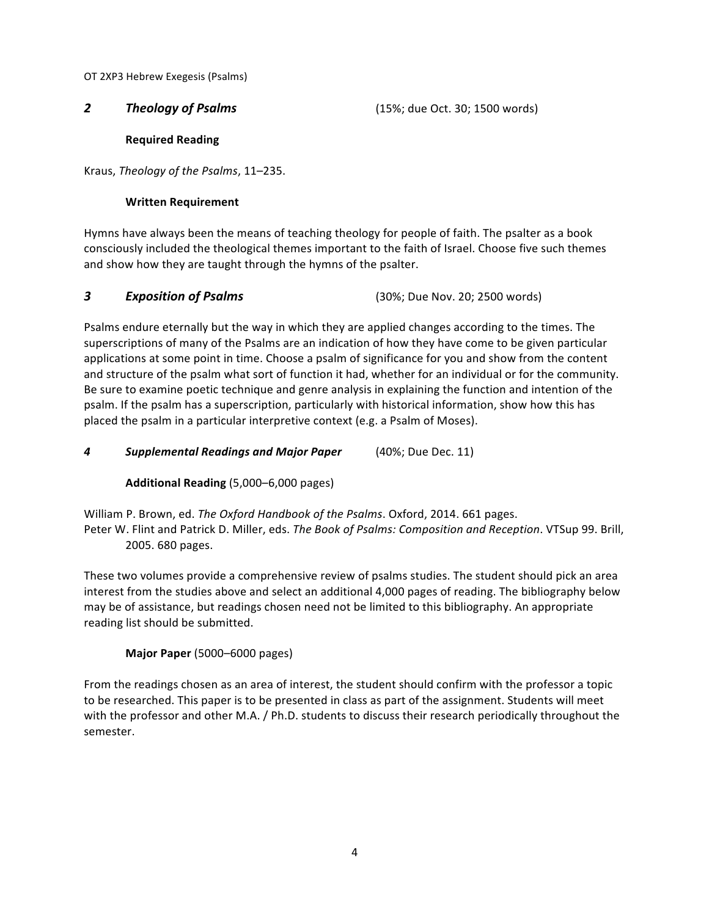**2** *Theology of Psalms* (15%; due Oct. 30; 1500 words)

**Required Reading**

Kraus, *Theology of the Psalms*, 11-235.

# **Written Requirement**

Hymns have always been the means of teaching theology for people of faith. The psalter as a book consciously included the theological themes important to the faith of Israel. Choose five such themes and show how they are taught through the hymns of the psalter.

## **3 Exposition of Psalms 1988** (30%; Due Nov. 20; 2500 words)

Psalms endure eternally but the way in which they are applied changes according to the times. The superscriptions of many of the Psalms are an indication of how they have come to be given particular applications at some point in time. Choose a psalm of significance for you and show from the content and structure of the psalm what sort of function it had, whether for an individual or for the community. Be sure to examine poetic technique and genre analysis in explaining the function and intention of the psalm. If the psalm has a superscription, particularly with historical information, show how this has placed the psalm in a particular interpretive context (e.g. a Psalm of Moses).

**4 Supplemental Readings and Major Paper** (40%; Due Dec. 11)

**Additional Reading** (5,000–6,000 pages)

William P. Brown, ed. The Oxford Handbook of the Psalms. Oxford, 2014. 661 pages. Peter W. Flint and Patrick D. Miller, eds. The Book of Psalms: Composition and Reception. VTSup 99. Brill, 2005. 680 pages.

These two volumes provide a comprehensive review of psalms studies. The student should pick an area interest from the studies above and select an additional 4,000 pages of reading. The bibliography below may be of assistance, but readings chosen need not be limited to this bibliography. An appropriate reading list should be submitted.

**Major Paper** (5000–6000 pages)

From the readings chosen as an area of interest, the student should confirm with the professor a topic to be researched. This paper is to be presented in class as part of the assignment. Students will meet with the professor and other M.A. / Ph.D. students to discuss their research periodically throughout the semester.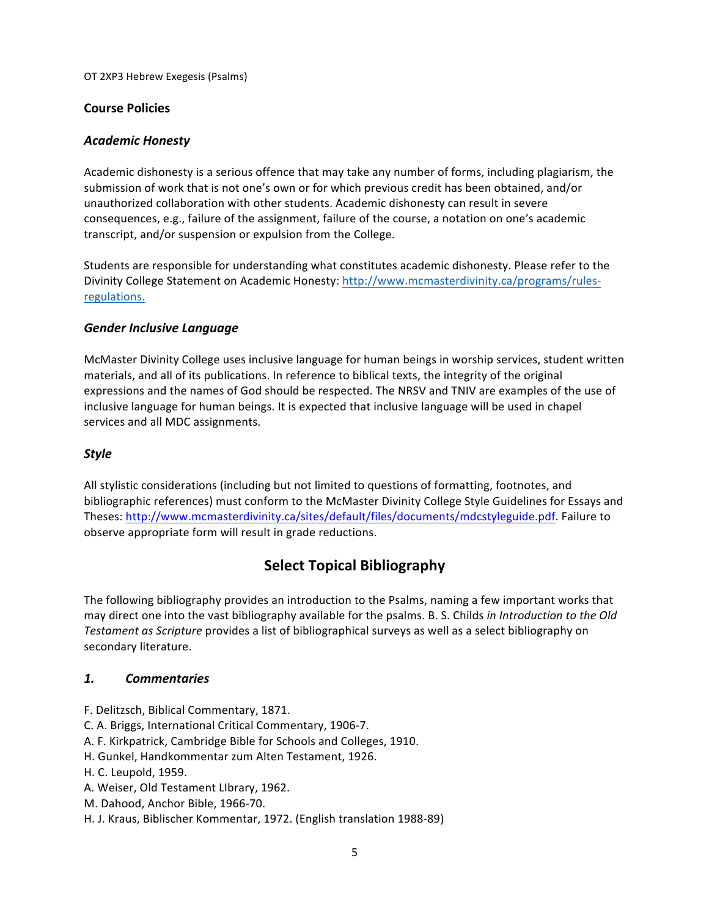# **Course Policies**

# *Academic Honesty*

Academic dishonesty is a serious offence that may take any number of forms, including plagiarism, the submission of work that is not one's own or for which previous credit has been obtained, and/or unauthorized collaboration with other students. Academic dishonesty can result in severe consequences, e.g., failure of the assignment, failure of the course, a notation on one's academic transcript, and/or suspension or expulsion from the College.

Students are responsible for understanding what constitutes academic dishonesty. Please refer to the Divinity College Statement on Academic Honesty: http://www.mcmasterdivinity.ca/programs/rulesregulations.

# *Gender Inclusive Language*

McMaster Divinity College uses inclusive language for human beings in worship services, student written materials, and all of its publications. In reference to biblical texts, the integrity of the original expressions and the names of God should be respected. The NRSV and TNIV are examples of the use of inclusive language for human beings. It is expected that inclusive language will be used in chapel services and all MDC assignments.

# *Style*

All stylistic considerations (including but not limited to questions of formatting, footnotes, and bibliographic references) must conform to the McMaster Divinity College Style Guidelines for Essays and Theses: http://www.mcmasterdivinity.ca/sites/default/files/documents/mdcstyleguide.pdf. Failure to observe appropriate form will result in grade reductions.

# **Select Topical Bibliography**

The following bibliography provides an introduction to the Psalms, naming a few important works that may direct one into the vast bibliography available for the psalms. B. S. Childs *in Introduction to the Old Testament as Scripture* provides a list of bibliographical surveys as well as a select bibliography on secondary literature.

## *1. Commentaries*

- F. Delitzsch, Biblical Commentary, 1871.
- C. A. Briggs, International Critical Commentary, 1906-7.
- A. F. Kirkpatrick, Cambridge Bible for Schools and Colleges, 1910.
- H. Gunkel, Handkommentar zum Alten Testament, 1926.
- H. C. Leupold, 1959.
- A. Weiser, Old Testament LIbrary, 1962.
- M. Dahood, Anchor Bible, 1966-70.
- H. J. Kraus, Biblischer Kommentar, 1972. (English translation 1988-89)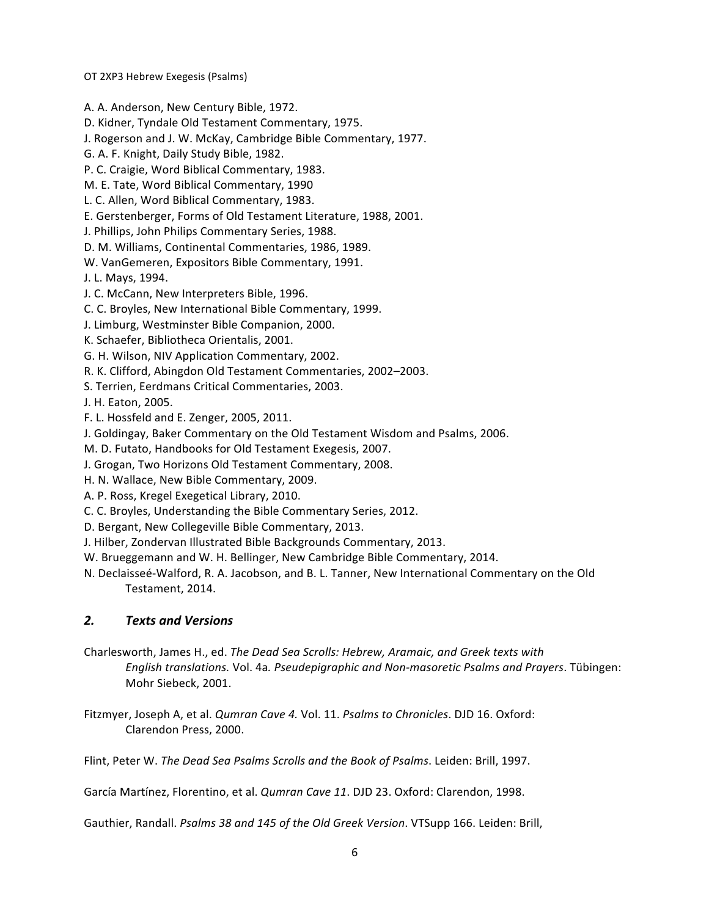A. A. Anderson, New Century Bible, 1972.

D. Kidner, Tyndale Old Testament Commentary, 1975.

J. Rogerson and J. W. McKay, Cambridge Bible Commentary, 1977.

G. A. F. Knight, Daily Study Bible, 1982.

P. C. Craigie, Word Biblical Commentary, 1983.

M. E. Tate, Word Biblical Commentary, 1990

L. C. Allen, Word Biblical Commentary, 1983.

E. Gerstenberger, Forms of Old Testament Literature, 1988, 2001.

J. Phillips, John Philips Commentary Series, 1988.

D. M. Williams, Continental Commentaries, 1986, 1989.

W. VanGemeren, Expositors Bible Commentary, 1991.

J. L. Mays, 1994.

J. C. McCann, New Interpreters Bible, 1996.

C. C. Broyles, New International Bible Commentary, 1999.

J. Limburg, Westminster Bible Companion, 2000.

K. Schaefer, Bibliotheca Orientalis, 2001.

G. H. Wilson, NIV Application Commentary, 2002.

R. K. Clifford, Abingdon Old Testament Commentaries, 2002–2003.

S. Terrien, Eerdmans Critical Commentaries, 2003.

J. H. Eaton, 2005.

F. L. Hossfeld and E. Zenger, 2005, 2011.

J. Goldingay, Baker Commentary on the Old Testament Wisdom and Psalms, 2006.

M. D. Futato, Handbooks for Old Testament Exegesis, 2007.

J. Grogan, Two Horizons Old Testament Commentary, 2008.

H. N. Wallace, New Bible Commentary, 2009.

A. P. Ross, Kregel Exegetical Library, 2010.

C. C. Broyles, Understanding the Bible Commentary Series, 2012.

D. Bergant, New Collegeville Bible Commentary, 2013.

J. Hilber, Zondervan Illustrated Bible Backgrounds Commentary, 2013.

W. Brueggemann and W. H. Bellinger, New Cambridge Bible Commentary, 2014.

N. Declaisseé-Walford, R. A. Jacobson, and B. L. Tanner, New International Commentary on the Old Testament, 2014.

# *2. Texts and Versions*

Charlesworth, James H., ed. *The Dead Sea Scrolls: Hebrew, Aramaic, and Greek texts with English translations.* Vol. 4a. *Pseudepigraphic and Non-masoretic Psalms and Prayers*. Tübingen: Mohr Siebeck, 2001.

Fitzmyer, Joseph A, et al. *Qumran Cave 4.* Vol. 11. *Psalms to Chronicles*. DJD 16. Oxford: Clarendon Press, 2000.

Flint, Peter W. The Dead Sea Psalms Scrolls and the Book of Psalms. Leiden: Brill, 1997.

García Martínez, Florentino, et al. *Qumran Cave 11*. DJD 23. Oxford: Clarendon, 1998.

Gauthier, Randall. *Psalms 38 and 145 of the Old Greek Version*. VTSupp 166. Leiden: Brill,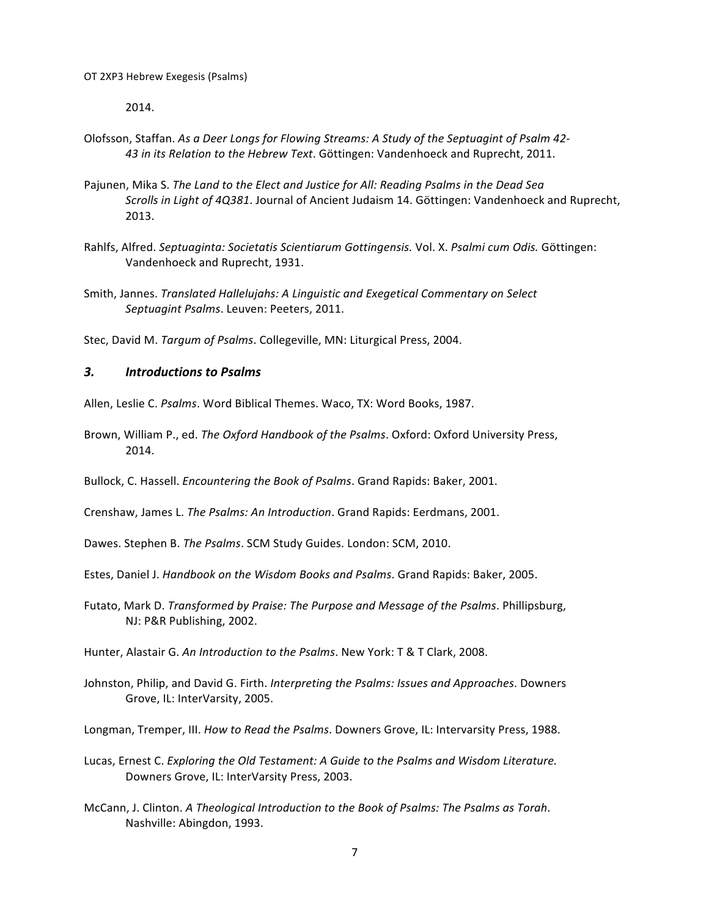2014.

- Olofsson, Staffan. As a Deer Longs for Flowing Streams: A Study of the Septuagint of Psalm 42-43 in its Relation to the Hebrew Text. Göttingen: Vandenhoeck and Ruprecht, 2011.
- Pajunen, Mika S. The Land to the Elect and Justice for All: Reading Psalms in the Dead Sea *Scrolls in Light of 4Q381*. Journal of Ancient Judaism 14. Göttingen: Vandenhoeck and Ruprecht, 2013.
- Rahlfs, Alfred. Septuaginta: Societatis Scientiarum Gottingensis. Vol. X. Psalmi cum Odis. Göttingen: Vandenhoeck and Ruprecht, 1931.
- Smith, Jannes. *Translated Hallelujahs: A Linguistic and Exegetical Commentary on Select* Septuagint Psalms. Leuven: Peeters, 2011.

Stec, David M. *Targum of Psalms*. Collegeville, MN: Liturgical Press, 2004.

## *3. Introductions to Psalms*

Allen, Leslie C. Psalms. Word Biblical Themes. Waco, TX: Word Books, 1987.

- Brown, William P., ed. The Oxford Handbook of the Psalms. Oxford: Oxford University Press, 2014.
- Bullock, C. Hassell. *Encountering the Book of Psalms*. Grand Rapids: Baker, 2001.

Crenshaw, James L. The Psalms: An Introduction. Grand Rapids: Eerdmans, 2001.

Dawes. Stephen B. *The Psalms*. SCM Study Guides. London: SCM, 2010.

Estes, Daniel J. *Handbook on the Wisdom Books and Psalms*. Grand Rapids: Baker, 2005.

Futato, Mark D. *Transformed by Praise: The Purpose and Message of the Psalms*. Phillipsburg, NJ: P&R Publishing, 2002.

Hunter, Alastair G. An Introduction to the Psalms. New York: T & T Clark, 2008.

Johnston, Philip, and David G. Firth. *Interpreting the Psalms: Issues and Approaches*. Downers Grove, IL: InterVarsity, 2005.

Longman, Tremper, III. How to Read the Psalms. Downers Grove, IL: Intervarsity Press, 1988.

- Lucas, Ernest C. *Exploring the Old Testament: A Guide to the Psalms and Wisdom Literature.* Downers Grove, IL: InterVarsity Press, 2003.
- McCann, J. Clinton. A Theological Introduction to the Book of Psalms: The Psalms as Torah. Nashville: Abingdon, 1993.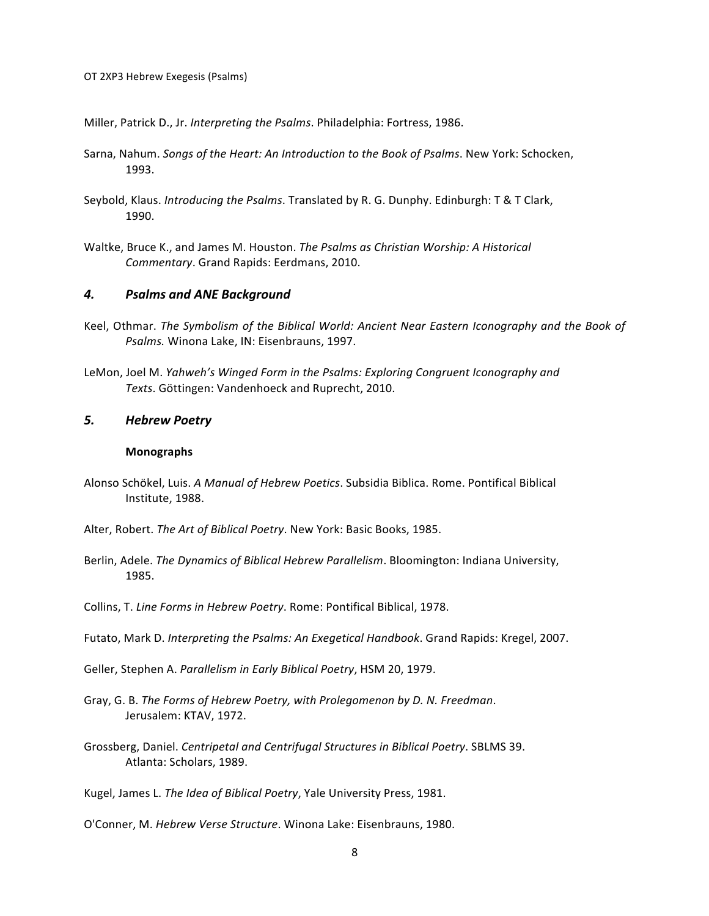Miller, Patrick D., Jr. *Interpreting the Psalms*. Philadelphia: Fortress, 1986.

- Sarna, Nahum. *Songs of the Heart: An Introduction to the Book of Psalms*. New York: Schocken, 1993.
- Seybold, Klaus. *Introducing the Psalms*. Translated by R. G. Dunphy. Edinburgh: T & T Clark, 1990.
- Waltke, Bruce K., and James M. Houston. The Psalms as Christian Worship: A Historical *Commentary*. Grand Rapids: Eerdmans, 2010.

## *4. Psalms and ANE Background*

- Keel, Othmar. The Symbolism of the Biblical World: Ancient Near Eastern Iconography and the Book of *Psalms.* Winona Lake, IN: Eisenbrauns, 1997.
- LeMon, Joel M. Yahweh's Winged Form in the Psalms: Exploring Congruent Iconography and Texts. Göttingen: Vandenhoeck and Ruprecht, 2010.

#### *5. Hebrew Poetry*

#### **Monographs**

- Alonso Schökel, Luis. *A Manual of Hebrew Poetics*. Subsidia Biblica. Rome. Pontifical Biblical Institute, 1988.
- Alter, Robert. The Art of Biblical Poetry. New York: Basic Books, 1985.
- Berlin, Adele. The Dynamics of Biblical Hebrew Parallelism. Bloomington: Indiana University, 1985.
- Collins, T. Line Forms in Hebrew Poetry. Rome: Pontifical Biblical, 1978.
- Futato, Mark D. *Interpreting the Psalms: An Exegetical Handbook*. Grand Rapids: Kregel, 2007.
- Geller, Stephen A. Parallelism in Early Biblical Poetry, HSM 20, 1979.
- Gray, G. B. The Forms of Hebrew Poetry, with Prolegomenon by D. N. Freedman. Jerusalem: KTAV, 1972.
- Grossberg, Daniel. Centripetal and Centrifugal Structures in Biblical Poetry. SBLMS 39. Atlanta: Scholars, 1989.

Kugel, James L. The Idea of Biblical Poetry, Yale University Press, 1981.

O'Conner, M. *Hebrew Verse Structure*. Winona Lake: Eisenbrauns, 1980.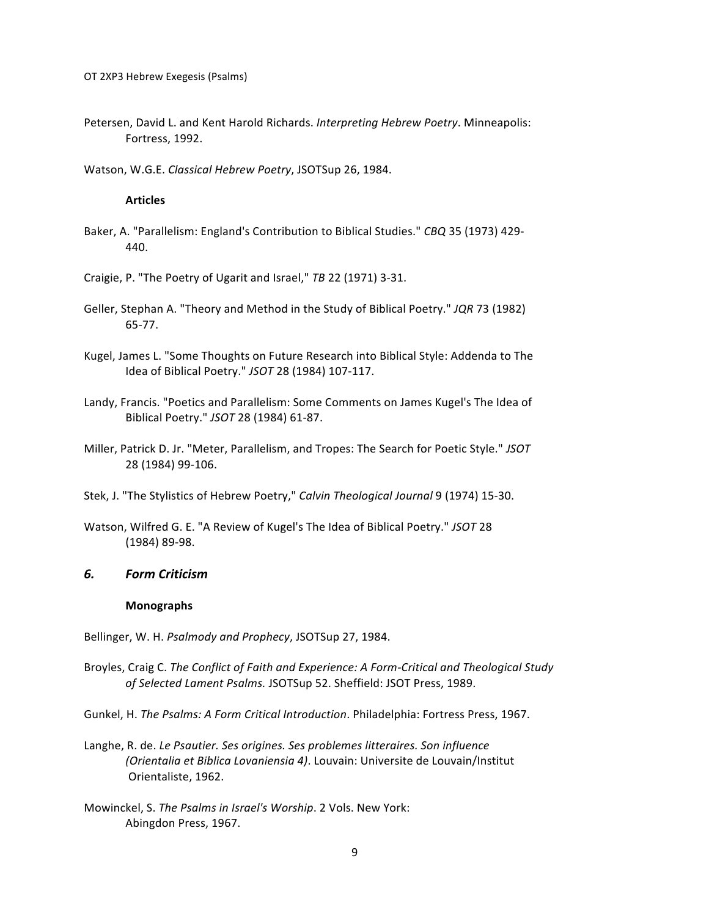Petersen, David L. and Kent Harold Richards. *Interpreting Hebrew Poetry*. Minneapolis: Fortress, 1992.

Watson, W.G.E. *Classical Hebrew Poetry*, JSOTSup 26, 1984.

#### **Articles**

- Baker, A. "Parallelism: England's Contribution to Biblical Studies." *CBQ* 35 (1973) 429-440.
- Craigie, P. "The Poetry of Ugarit and Israel," TB 22 (1971) 3-31.
- Geller, Stephan A. "Theory and Method in the Study of Biblical Poetry." JQR 73 (1982) 65-77.
- Kugel, James L. "Some Thoughts on Future Research into Biblical Style: Addenda to The Idea of Biblical Poetry." *JSOT* 28 (1984) 107-117.
- Landy, Francis. "Poetics and Parallelism: Some Comments on James Kugel's The Idea of Biblical Poetry." *JSOT* 28 (1984) 61-87.
- Miller, Patrick D. Jr. "Meter, Parallelism, and Tropes: The Search for Poetic Style." *JSOT* 28 (1984) 99-106.
- Stek, J. "The Stylistics of Hebrew Poetry," *Calvin Theological Journal* 9 (1974) 15-30.
- Watson, Wilfred G. E. "A Review of Kugel's The Idea of Biblical Poetry." JSOT 28 (1984) 89-98.

#### *6. Form Criticism*

#### **Monographs**

Bellinger, W. H. *Psalmody and Prophecy*, JSOTSup 27, 1984.

- Broyles, Craig C. The Conflict of Faith and Experience: A Form-Critical and Theological Study of Selected Lament Psalms. JSOTSup 52. Sheffield: JSOT Press, 1989.
- Gunkel, H. The Psalms: A Form Critical Introduction. Philadelphia: Fortress Press, 1967.
- Langhe, R. de. Le Psautier. Ses origines. Ses problemes litteraires. Son influence *(Orientalia et Biblica Lovaniensia 4)*. Louvain: Universite de Louvain/Institut Orientaliste, 1962.
- Mowinckel, S. The Psalms in Israel's Worship. 2 Vols. New York: Abingdon Press, 1967.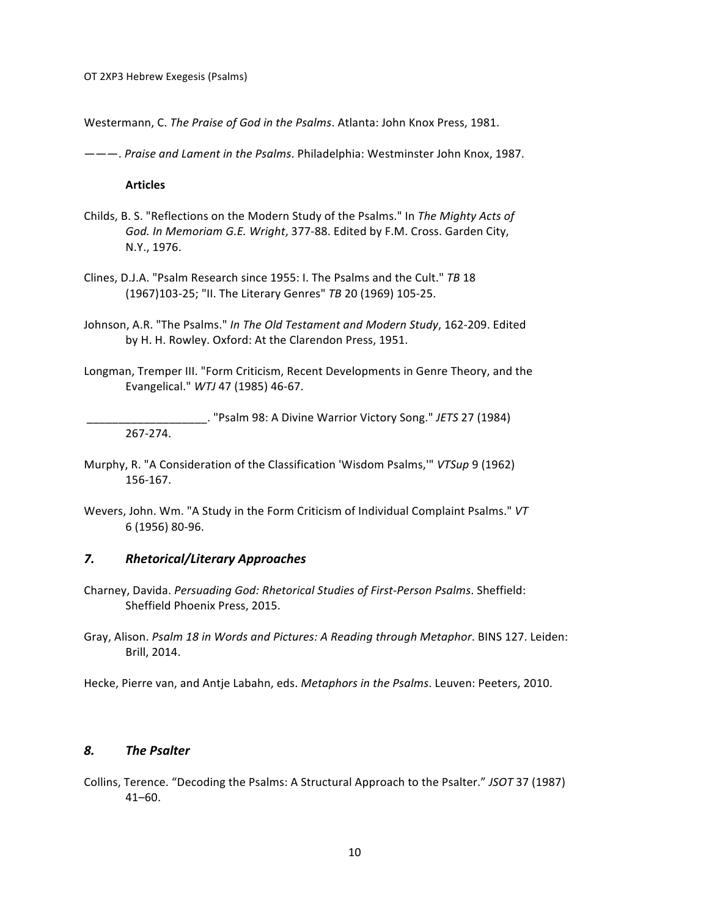Westermann, C. The Praise of God in the Psalms. Atlanta: John Knox Press, 1981.

———. *Praise and Lament in the Psalms*. Philadelphia: Westminster John Knox, 1987.

**Articles**

- Childs, B. S. "Reflections on the Modern Study of the Psalms." In *The Mighty Acts of* God. In Memoriam G.E. Wright, 377-88. Edited by F.M. Cross. Garden City, N.Y., 1976.
- Clines, D.J.A. "Psalm Research since 1955: I. The Psalms and the Cult." TB 18 (1967)103-25; "II. The Literary Genres" TB 20 (1969) 105-25.
- Johnson, A.R. "The Psalms." In The Old Testament and Modern Study, 162-209. Edited by H. H. Rowley. Oxford: At the Clarendon Press, 1951.
- Longman, Tremper III. "Form Criticism, Recent Developments in Genre Theory, and the Evangelical." *WTJ* 47 (1985) 46-67.

\_\_\_\_\_\_\_\_\_\_\_\_\_\_\_\_\_\_\_. "Psalm 98: A Divine Warrior Victory Song." *JETS* 27 (1984) 267-274. 

- Murphy, R. "A Consideration of the Classification 'Wisdom Psalms,'" VTSup 9 (1962) 156-167.
- Wevers, John. Wm. "A Study in the Form Criticism of Individual Complaint Psalms." VT 6 (1956) 80-96.

#### *7. Rhetorical/Literary Approaches*

- Charney, Davida. *Persuading God: Rhetorical Studies of First-Person Psalms*. Sheffield: Sheffield Phoenix Press, 2015.
- Gray, Alison. *Psalm 18 in Words and Pictures: A Reading through Metaphor*. BINS 127. Leiden: Brill, 2014.

Hecke, Pierre van, and Antie Labahn, eds. *Metaphors in the Psalms*. Leuven: Peeters, 2010.

## *8. The Psalter*

Collins, Terence. "Decoding the Psalms: A Structural Approach to the Psalter." JSOT 37 (1987) 41–60.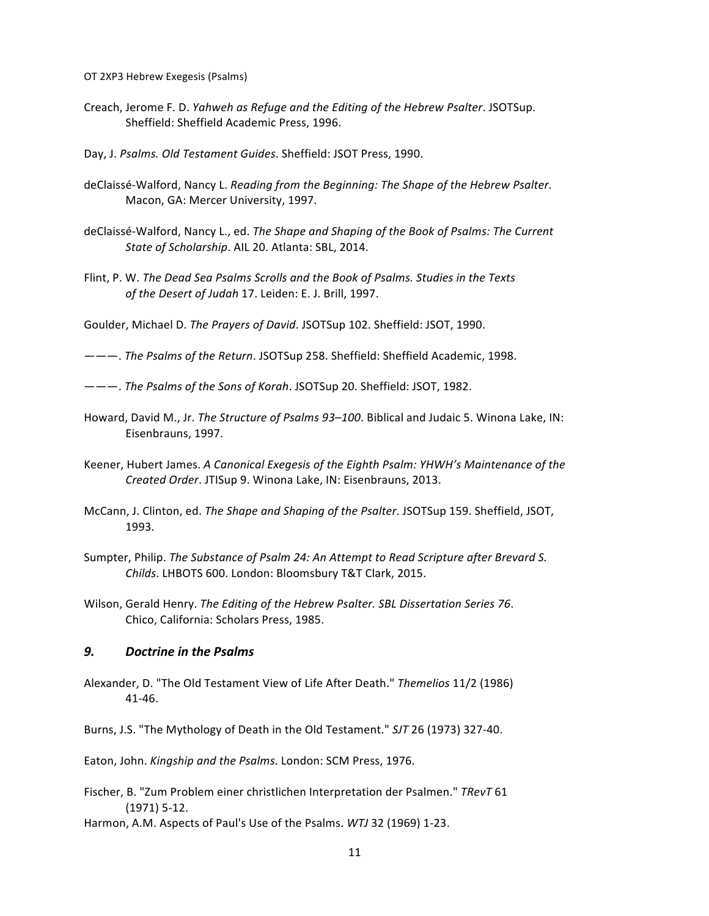- OT 2XP3 Hebrew Exegesis (Psalms)
- Creach, Jerome F. D. *Yahweh as Refuge and the Editing of the Hebrew Psalter*. JSOTSup. Sheffield: Sheffield Academic Press, 1996.
- Day, J. Psalms. Old Testament Guides. Sheffield: JSOT Press, 1990.
- deClaissé-Walford, Nancy L. *Reading from the Beginning: The Shape of the Hebrew Psalter*. Macon, GA: Mercer University, 1997.
- deClaissé-Walford, Nancy L., ed. The Shape and Shaping of the Book of Psalms: The Current State of Scholarship. AIL 20. Atlanta: SBL, 2014.
- Flint, P. W. The Dead Sea Psalms Scrolls and the Book of Psalms. Studies in the Texts of the Desert of Judah 17. Leiden: E. J. Brill, 1997.
- Goulder, Michael D. The Prayers of David. JSOTSup 102. Sheffield: JSOT, 1990.
- ———. *The Psalms of the Return*. JSOTSup 258. Sheffield: Sheffield Academic, 1998.
- ———. *The Psalms of the Sons of Korah.* JSOTSup 20. Sheffield: JSOT, 1982.
- Howard, David M., Jr. The Structure of Psalms 93-100. Biblical and Judaic 5. Winona Lake, IN: Eisenbrauns, 1997.
- Keener, Hubert James. A Canonical Exegesis of the Eighth Psalm: YHWH's Maintenance of the *Created Order.* JTISup 9. Winona Lake, IN: Eisenbrauns, 2013.
- McCann, J. Clinton, ed. *The Shape and Shaping of the Psalter*. JSOTSup 159. Sheffield, JSOT, 1993.
- Sumpter, Philip. The Substance of Psalm 24: An Attempt to Read Scripture after Brevard S. *Childs*. LHBOTS 600. London: Bloomsbury T&T Clark, 2015.
- Wilson, Gerald Henry. The Editing of the Hebrew Psalter. SBL Dissertation Series 76. Chico, California: Scholars Press, 1985.

#### *9. Doctrine in the Psalms*

- Alexander, D. "The Old Testament View of Life After Death." *Themelios* 11/2 (1986) 41-46.
- Burns, J.S. "The Mythology of Death in the Old Testament." *SJT* 26 (1973) 327-40.

Eaton, John. *Kingship and the Psalms*. London: SCM Press, 1976.

- Fischer, B. "Zum Problem einer christlichen Interpretation der Psalmen." *TRevT* 61  $(1971)$  5-12.
- Harmon, A.M. Aspects of Paul's Use of the Psalms. *WTJ* 32 (1969) 1-23.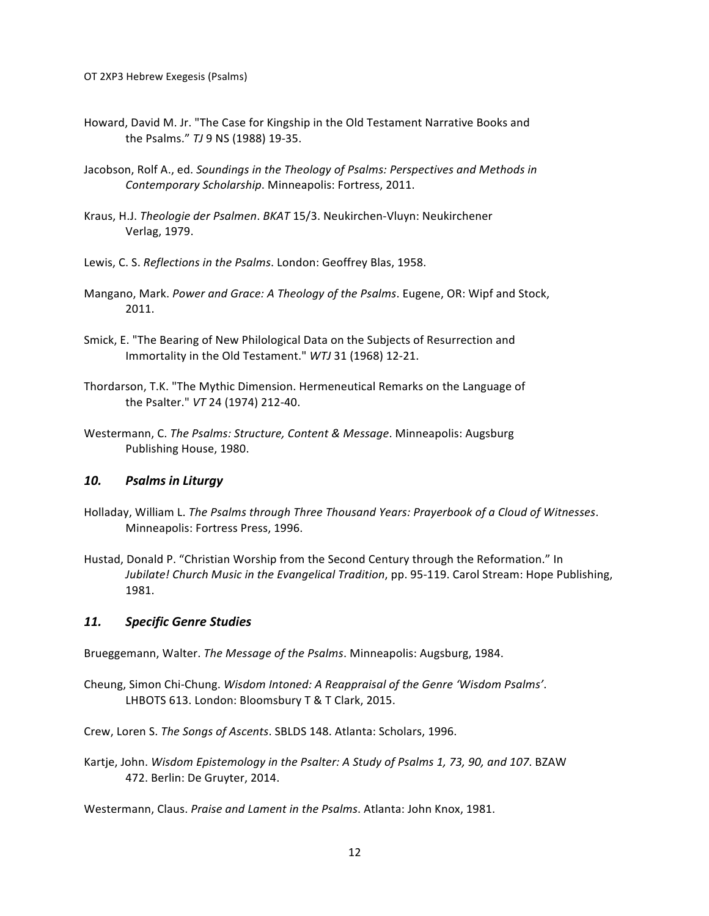- Howard, David M. Jr. "The Case for Kingship in the Old Testament Narrative Books and the Psalms." TJ 9 NS (1988) 19-35.
- Jacobson, Rolf A., ed. *Soundings in the Theology of Psalms: Perspectives and Methods in Contemporary Scholarship*. Minneapolis: Fortress, 2011.
- Kraus, H.J. Theologie der Psalmen. BKAT 15/3. Neukirchen-Vluyn: Neukirchener Verlag, 1979.
- Lewis, C. S. *Reflections in the Psalms*. London: Geoffrey Blas, 1958.
- Mangano, Mark. *Power and Grace: A Theology of the Psalms*. Eugene, OR: Wipf and Stock, 2011.
- Smick, E. "The Bearing of New Philological Data on the Subjects of Resurrection and Immortality in the Old Testament." WTJ 31 (1968) 12-21.
- Thordarson, T.K. "The Mythic Dimension. Hermeneutical Remarks on the Language of the Psalter." VT 24 (1974) 212-40.
- Westermann, C. The Psalms: Structure, Content & Message. Minneapolis: Augsburg Publishing House, 1980.

#### **10.** Psalms in Liturgy

- Holladay, William L. *The Psalms through Three Thousand Years: Prayerbook of a Cloud of Witnesses.* Minneapolis: Fortress Press, 1996.
- Hustad, Donald P. "Christian Worship from the Second Century through the Reformation." In *Jubilate! Church Music in the Evangelical Tradition*, pp. 95-119. Carol Stream: Hope Publishing, 1981.

#### *11. Specific Genre Studies*

Brueggemann, Walter. The Message of the Psalms. Minneapolis: Augsburg, 1984.

Cheung, Simon Chi-Chung. Wisdom Intoned: A Reappraisal of the Genre 'Wisdom Psalms'. LHBOTS 613. London: Bloomsbury T & T Clark, 2015.

Crew, Loren S. The Songs of Ascents. SBLDS 148. Atlanta: Scholars, 1996.

Kartje, John. Wisdom Epistemology in the Psalter: A Study of Psalms 1, 73, 90, and 107. BZAW 472. Berlin: De Gruyter, 2014.

Westermann, Claus. *Praise and Lament in the Psalms*. Atlanta: John Knox, 1981.